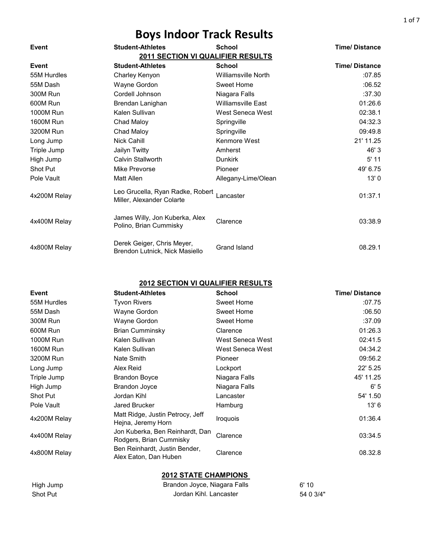| Event            | <b>Student-Athletes</b>                                       | <b>School</b>              | <b>Time/Distance</b> |
|------------------|---------------------------------------------------------------|----------------------------|----------------------|
|                  | <b>2011 SECTION VI QUALIFIER RESULTS</b>                      |                            |                      |
| Event            | <b>Student-Athletes</b>                                       | <b>School</b>              | <b>Time/Distance</b> |
| 55M Hurdles      | Charley Kenyon                                                | <b>Williamsville North</b> | :07.85               |
| 55M Dash         | Wayne Gordon                                                  | Sweet Home                 | :06.52               |
| 300M Run         | Cordell Johnson                                               | Niagara Falls              | :37.30               |
| 600M Run         | Brendan Lanighan                                              | <b>Williamsville East</b>  | 01:26.6              |
| 1000M Run        | Kalen Sullivan                                                | West Seneca West           | 02:38.1              |
| <b>1600M Run</b> | Chad Maloy                                                    | Springville                | 04:32.3              |
| 3200M Run        | Chad Maloy                                                    | Springville                | 09:49.8              |
| Long Jump        | <b>Nick Cahill</b>                                            | Kenmore West               | 21' 11.25            |
| Triple Jump      | Jailyn Twitty                                                 | Amherst                    | 46' 3                |
| High Jump        | Calvin Stallworth                                             | <b>Dunkirk</b>             | $5'$ 11              |
| Shot Put         | Mike Prevorse                                                 | Pioneer                    | 49' 6.75             |
| Pole Vault       | Matt Allen                                                    | Allegany-Lime/Olean        | 13'0                 |
| 4x200M Relay     | Leo Grucella, Ryan Radke, Robert<br>Miller, Alexander Colarte | Lancaster                  | 01:37.1              |
| 4x400M Relay     | James Willy, Jon Kuberka, Alex<br>Polino, Brian Cummisky      | Clarence                   | 03:38.9              |
| 4x800M Relay     | Derek Geiger, Chris Meyer,<br>Brendon Lutnick, Nick Masiello  | <b>Grand Island</b>        | 08.29.1              |

#### **2012 SECTION VI QUALIFIER RESULTS**

| Event            | <b>Student-Athletes</b>                                    | <b>School</b>    | <b>Time/Distance</b> |
|------------------|------------------------------------------------------------|------------------|----------------------|
| 55M Hurdles      | <b>Tyvon Rivers</b>                                        | Sweet Home       | :07.75               |
| 55M Dash         | Wayne Gordon                                               | Sweet Home       | :06.50               |
| 300M Run         | Wayne Gordon                                               | Sweet Home       | :37.09               |
| 600M Run         | Brian Cumminsky                                            | Clarence         | 01:26.3              |
| 1000M Run        | Kalen Sullivan                                             | West Seneca West | 02:41.5              |
| <b>1600M Run</b> | Kalen Sullivan                                             | West Seneca West | 04:34.2              |
| 3200M Run        | Nate Smith                                                 | Pioneer          | 09:56.2              |
| Long Jump        | Alex Reid                                                  | Lockport         | 22' 5.25             |
| Triple Jump      | <b>Brandon Boyce</b>                                       | Niagara Falls    | 45' 11.25            |
| High Jump        | <b>Brandon Joyce</b>                                       | Niagara Falls    | 6'5                  |
| Shot Put         | Jordan Kihl                                                | Lancaster        | 54' 1.50             |
| Pole Vault       | Jared Brucker                                              | Hamburg          | 13' 6                |
| 4x200M Relay     | Matt Ridge, Justin Petrocy, Jeff<br>Hejna, Jeremy Horn     | <b>Iroquois</b>  | 01:36.4              |
| 4x400M Relay     | Jon Kuberka, Ben Reinhardt, Dan<br>Rodgers, Brian Cummisky | Clarence         | 03:34.5              |
| 4x800M Relay     | Ben Reinhardt, Justin Bender,<br>Alex Eaton, Dan Huben     | Clarence         | 08.32.8              |

| High Jump | Brandon Joyce, Niagara Falls | 6'10      |
|-----------|------------------------------|-----------|
| Shot Put  | Jordan Kihl, Lancaster       | 54 0 3/4" |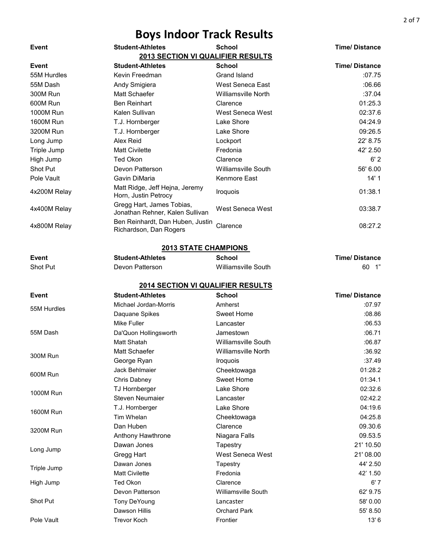| Event            | <b>Student-Athletes</b>                                      | <b>School</b>              | <b>Time/Distance</b> |
|------------------|--------------------------------------------------------------|----------------------------|----------------------|
|                  | <b>2013 SECTION VI QUALIFIER RESULTS</b>                     |                            |                      |
| Event            | <b>Student-Athletes</b>                                      | <b>School</b>              | <b>Time/Distance</b> |
| 55M Hurdles      | Kevin Freedman                                               | <b>Grand Island</b>        | :07.75               |
| 55M Dash         | Andy Smigiera                                                | West Seneca East           | .06.66               |
| 300M Run         | Matt Schaefer                                                | <b>Williamsville North</b> | :37.04               |
| 600M Run         | <b>Ben Reinhart</b>                                          | Clarence                   | 01:25.3              |
| <b>1000M Run</b> | Kalen Sullivan                                               | West Seneca West           | 02:37.6              |
| <b>1600M Run</b> | T.J. Hornberger                                              | Lake Shore                 | 04:24.9              |
| 3200M Run        | T.J. Hornberger                                              | Lake Shore                 | 09:26.5              |
| Long Jump        | Alex Reid                                                    | Lockport                   | 22' 8.75             |
| Triple Jump      | <b>Matt Civilette</b>                                        | Fredonia                   | 42' 2.50             |
| High Jump        | <b>Ted Okon</b>                                              | Clarence                   | 6'2                  |
| Shot Put         | Devon Patterson                                              | <b>Williamsville South</b> | 56' 6.00             |
| Pole Vault       | Gavin DiMaria                                                | Kenmore East               | 14'1                 |
| 4x200M Relay     | Matt Ridge, Jeff Hejna, Jeremy<br>Horn, Justin Petrocy       | Iroquois                   | 01:38.1              |
| 4x400M Relay     | Gregg Hart, James Tobias,<br>Jonathan Rehner, Kalen Sullivan | West Seneca West           | 03:38.7              |
| 4x800M Relay     | Ben Reinhardt, Dan Huben, Justin<br>Richardson, Dan Rogers   | Clarence                   | 08:27.2              |
|                  | <b>2013 STATE CHAMPIONS</b>                                  |                            |                      |
| Event            | <b>Student-Athletes</b>                                      | <b>School</b>              | <b>Time/Distance</b> |
| Shot Put         | Devon Patterson                                              | <b>Williamsville South</b> | 60<br>$\overline{1}$ |
|                  |                                                              |                            |                      |
|                  | <b>2014 SECTION VI QUALIFIER RESULTS</b>                     |                            |                      |
| Event            | <b>Student-Athletes</b>                                      | <b>School</b>              | <b>Time/Distance</b> |
|                  | Michael Jordan-Morris                                        | Amherst                    | .07.97               |
| 55M Hurdles      | Daquane Spikes                                               | <b>Sweet Home</b>          | :08.86               |
|                  | Mike Fuller                                                  | Lancaster                  | :06.53               |
| 55M Dash         | Da'Quon Hollingsworth                                        | Jamestown                  | :06.71               |
|                  | <b>Matt Shatah</b>                                           | <b>Williamsville South</b> | :06.87               |
|                  | Matt Schaefer                                                | <b>Williamsville North</b> | :36.92               |
| 300M Run         | George Ryan                                                  | Iroquois                   | :37.49               |
|                  | Jack Behlmaier                                               | Cheektowaga                | 01:28.2              |
| 600M Run         | Chris Dabney                                                 | <b>Sweet Home</b>          | 01:34.1              |
|                  | TJ Hornberger                                                | Lake Shore                 | 02:32.6              |
| <b>1000M Run</b> | <b>Steven Neumaier</b>                                       | Lancaster                  | 02:42.2              |
|                  | T.J. Hornberger                                              | Lake Shore                 | 04:19.6              |
| <b>1600M Run</b> | Tim Whelan                                                   | Cheektowaga                | 04:25.8              |
|                  | Dan Huben                                                    | Clarence                   | 09.30.6              |
| 3200M Run        | Anthony Hawthrone                                            | Niagara Falls              | 09.53.5              |
|                  | Dawan Jones                                                  | Tapestry                   | 21' 10.50            |
| Long Jump        | Gregg Hart                                                   | West Seneca West           | 21' 08.00            |
|                  | Dawan Jones                                                  | Tapestry                   | 44' 2.50             |
| Triple Jump      | <b>Matt Civilette</b>                                        | Fredonia                   | 42' 1.50             |
| High Jump        | Ted Okon                                                     | Clarence                   | 6'7                  |
|                  | Devon Patterson                                              | Williamsville South        | 62' 9.75             |
| Shot Put         | <b>Tony DeYoung</b>                                          | Lancaster                  | 58'0.00              |
|                  | Dawson Hillis                                                | <b>Orchard Park</b>        | 55' 8.50             |
| Pole Vault       | <b>Trevor Koch</b>                                           | Frontier                   | 13'6                 |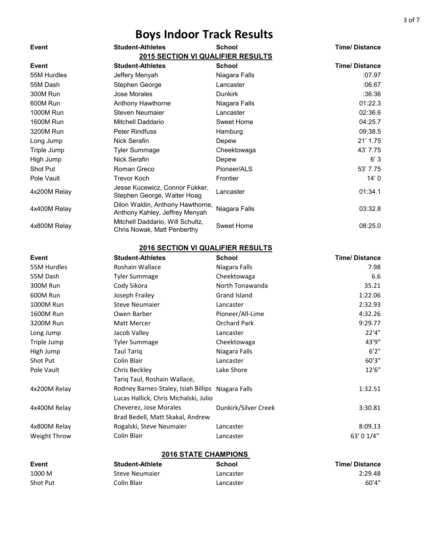| Event            | <b>Student-Athletes</b>                                            | <b>School</b>  | <b>Time/Distance</b> |
|------------------|--------------------------------------------------------------------|----------------|----------------------|
|                  | 2015 SECTION VI QUALIFIER RESULTS                                  |                |                      |
| Event            | <b>Student-Athletes</b>                                            | <b>School</b>  | <b>Time/Distance</b> |
| 55M Hurdles      | Jeffery Menyah                                                     | Niagara Falls  | :07.97               |
| 55M Dash         | Stephen George                                                     | Lancaster      | :06.67               |
| 300M Run         | Jose Morales                                                       | <b>Dunkirk</b> | :36.36               |
| 600M Run         | Anthony Hawthorne                                                  | Niagara Falls  | 01:22.3              |
| <b>1000M Run</b> | Steven Neumaier                                                    | Lancaster      | 02:36.6              |
| <b>1600M Run</b> | Mitchell Daddario                                                  | Sweet Home     | 04:25.7              |
| 3200M Run        | <b>Peter Rindfuss</b>                                              | Hamburg        | 09:38.5              |
| Long Jump        | Nick Serafin                                                       | Depew          | $21'$ 1.75           |
| Triple Jump      | <b>Tyler Summage</b>                                               | Cheektowaga    | 43' 7.75             |
| High Jump        | Nick Serafin                                                       | Depew          | 6'3                  |
| Shot Put         | Roman Greco                                                        | Pioneer/ALS    | 53' 7.75             |
| Pole Vault       | <b>Trevor Koch</b>                                                 | Frontier       | 14'0                 |
| 4x200M Relay     | Jesse Kucewicz, Connor Fukker,<br>Stephen George, Walter Hoag      | Lancaster      | 01:34.1              |
| 4x400M Relay     | Dilon Waldin, Anthony Hawthorne,<br>Anthony Kahley, Jeffrey Menyah | Niagara Falls  | 03:32.8              |
| 4x800M Relay     | Mitchell Daddario, Will Schultz,<br>Chris Nowak, Matt Penberthy    | Sweet Home     | 08:25.0              |
|                  | <b>2016 SECTION VI QUALIFIER RESULTS</b>                           |                |                      |
| Event            | <b>Student-Athletes</b>                                            | <b>School</b>  | <b>Time/Distance</b> |

| ᄂ᠈ငப         | omacultanicles                                    | וטטווטט              | <b>THIS DISTRITE</b> |
|--------------|---------------------------------------------------|----------------------|----------------------|
| 55M Hurdles  | Roshain Wallace                                   | Niagara Falls        | 7.98                 |
| 55M Dash     | <b>Tyler Summage</b>                              | Cheektowaga          | 6.6                  |
| 300M Run     | Cody Sikora                                       | North Tonawanda      | 35.21                |
| 600M Run     | Joseph Frailey                                    | Grand Island         | 1:22.06              |
| 1000M Run    | <b>Steve Neumaier</b>                             | Lancaster            | 2:32.93              |
| 1600M Run    | Owen Barber                                       | Pioneer/All-Lime     | 4:32.26              |
| 3200M Run    | Matt Mercer                                       | <b>Orchard Park</b>  | 9:29.77              |
| Long Jump    | Jacob Valley                                      | Lancaster            | 22'4"                |
| Triple Jump  | Tyler Summage                                     | Cheektowaga          | 43'9"                |
| High Jump    | <b>Taul Tariq</b>                                 | Niagara Falls        | 6'2''                |
| Shot Put     | Colin Blair                                       | Lancaster            | 60'3"                |
| Pole Vault   | Chris Beckley                                     | Lake Shore           | 12'6"                |
|              | Tariq Taul, Roshain Wallace,                      |                      |                      |
| 4x200M Relay | Rodney Barnes-Staley, Isiah Billips Niagara Falls |                      | 1:32.51              |
|              | Lucas Hallick, Chris Michalski, Julio             |                      |                      |
| 4x400M Relay | Cheverez, Jose Morales                            | Dunkirk/Silver Creek | 3:30.81              |
|              | Brad Bedell, Matt Skakal, Andrew                  |                      |                      |
| 4x800M Relay | Rogalski, Steve Neumaier                          | Lancaster            | 8:09.13              |
| Weight Throw | Colin Blair                                       | Lancaster            | 63' 0 1/4"           |
|              |                                                   |                      |                      |

| <b>Event</b> | <b>Student-Athlete</b> | School    | <b>Time/Distance</b> |
|--------------|------------------------|-----------|----------------------|
| 1000 M       | Steve Neumaier         | Lancaster | 2:29.48              |
| Shot Put     | Colin Blair            | Lancaster | 60'4"                |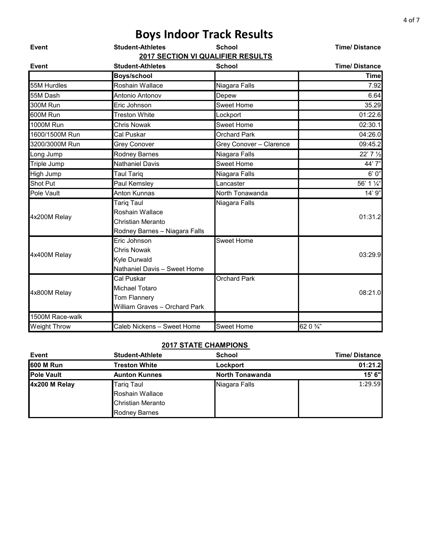|                     | <b>Boys Indoor Track Results</b>                                                            |                         |                      |
|---------------------|---------------------------------------------------------------------------------------------|-------------------------|----------------------|
| Event               | <b>Student-Athletes</b><br>2017 SECTION VI QUALIFIER RESULTS                                | <b>School</b>           | <b>Time/Distance</b> |
| Event               | <b>Student-Athletes</b>                                                                     | <b>School</b>           | <b>Time/Distance</b> |
|                     | <b>Boys/school</b>                                                                          |                         | <b>Time</b>          |
| 55M Hurdles         | Roshain Wallace                                                                             | Niagara Falls           | 7.92                 |
| 55M Dash            | Antonio Antonov                                                                             | Depew                   | 6.64                 |
| 300M Run            | Eric Johnson                                                                                | <b>Sweet Home</b>       | 35.29                |
| 600M Run            | <b>Treston White</b>                                                                        | Lockport                | 01:22.6              |
| <b>1000M Run</b>    | <b>Chris Nowak</b>                                                                          | <b>Sweet Home</b>       | 02:30.1              |
| 1600/1500M Run      | Cal Puskar                                                                                  | <b>Orchard Park</b>     | 04:26.0              |
| 3200/3000M Run      | <b>Grey Conover</b>                                                                         | Grey Conover - Clarence | 09:45.2              |
| Long Jump           | <b>Rodney Barnes</b>                                                                        | Niagara Falls           | 22' 7 1/2            |
| Triple Jump         | <b>Nathaniel Davis</b>                                                                      | <b>Sweet Home</b>       | 44'7"                |
| High Jump           | <b>Taul Tariq</b>                                                                           | Niagara Falls           | 6'0''                |
| Shot Put            | Paul Kemsley                                                                                | Lancaster               | 56' 1 1/4"           |
| Pole Vault          | Anton Kunnas                                                                                | North Tonawanda         | 14' 9"               |
| 4x200M Relay        | <b>Tarig Taul</b><br>Roshain Wallace<br>Christian Meranto<br>Rodney Barnes - Niagara Falls  | Niagara Falls           | 01:31.2              |
| 4x400M Relay        | Eric Johnson<br><b>Chris Nowak</b><br><b>Kyle Durwald</b><br>Nathaniel Davis - Sweet Home   | Sweet Home              | 03:29.9              |
| 4x800M Relay        | Cal Puskar<br><b>Michael Totaro</b><br><b>Tom Flannery</b><br>William Graves - Orchard Park | <b>Orchard Park</b>     | 08:21.0              |
| 1500M Race-walk     |                                                                                             |                         |                      |
| <b>Weight Throw</b> | Caleb Nickens - Sweet Home                                                                  | <b>Sweet Home</b>       | 62 0 3/4"            |

| <b>Event</b>      | <b>Student-Athlete</b> | <b>School</b>          | <b>Time/Distance</b> |
|-------------------|------------------------|------------------------|----------------------|
| <b>600 M Run</b>  | Treston White          | Lockport               | 01:21.2              |
| <b>Pole Vault</b> | <b>Aunton Kunnes</b>   | <b>North Tonawanda</b> | 15' 6"               |
| 4x200 M Relay     | <b>Tarig Taul</b>      | Niagara Falls          | 1:29.59              |
|                   | Roshain Wallace        |                        |                      |
|                   | Christian Meranto      |                        |                      |
|                   | Rodney Barnes          |                        |                      |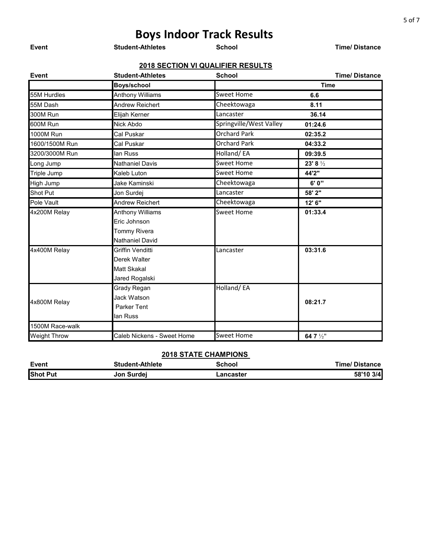| Event               | <b>Student-Athletes</b>    | <b>School</b>                     | <b>Time/Distance</b> |
|---------------------|----------------------------|-----------------------------------|----------------------|
|                     |                            | 2018 SECTION VI QUALIFIER RESULTS |                      |
| Event               | <b>Student-Athletes</b>    | <b>School</b>                     | <b>Time/Distance</b> |
|                     | <b>Boys/school</b>         |                                   | <b>Time</b>          |
| 55M Hurdles         | <b>Anthony Williams</b>    | <b>Sweet Home</b>                 | 6.6                  |
| 55M Dash            | <b>Andrew Reichert</b>     | Cheektowaga                       | 8.11                 |
| 300M Run            | Elijah Kerner              | Lancaster                         | 36.14                |
| 600M Run            | Nick Abdo                  | Springville/West Valley           | 01:24.6              |
| 1000M Run           | Cal Puskar                 | <b>Orchard Park</b>               | 02:35.2              |
| 1600/1500M Run      | Cal Puskar                 | <b>Orchard Park</b>               | 04:33.2              |
| 3200/3000M Run      | lan Russ                   | Holland/EA                        | 09:39.5              |
| Long Jump           | <b>Nathaniel Davis</b>     | <b>Sweet Home</b>                 | $23' 8\frac{1}{2}$   |
| Triple Jump         | Kaleb Luton                | <b>Sweet Home</b>                 | 44'2"                |
| High Jump           | Jake Kaminski              | Cheektowaga                       | 6'0"                 |
| <b>Shot Put</b>     | Jon Surdej                 | Lancaster                         | 58' 2"               |
| Pole Vault          | <b>Andrew Reichert</b>     | Cheektowaga                       | 12' 6"               |
| 4x200M Relay        | <b>Anthony Williams</b>    | <b>Sweet Home</b>                 | 01:33.4              |
|                     | Eric Johnson               |                                   |                      |
|                     | <b>Tommy Rivera</b>        |                                   |                      |
|                     | <b>Nathaniel David</b>     |                                   |                      |
| 4x400M Relay        | Griffin Venditti           | Lancaster                         | 03:31.6              |
|                     | Derek Walter               |                                   |                      |
|                     | <b>Matt Skakal</b>         |                                   |                      |
|                     | Jared Rogalski             |                                   |                      |
|                     | Grady Regan                | Holland/EA                        |                      |
|                     | Jack Watson                |                                   | 08:21.7              |
| 4x800M Relay        | <b>Parker Tent</b>         |                                   |                      |
|                     | lan Russ                   |                                   |                      |
| 1500M Race-walk     |                            |                                   |                      |
| <b>Weight Throw</b> | Caleb Nickens - Sweet Home | <b>Sweet Home</b>                 | 64 7 1/2"            |

| <b>Event</b>    | <b>Student-Athlete</b> | School                | <b>Time/Distance</b> |
|-----------------|------------------------|-----------------------|----------------------|
| <b>Shot Put</b> | Jon Surdej             | <sub>–</sub> ancaster | 58'10 3/4            |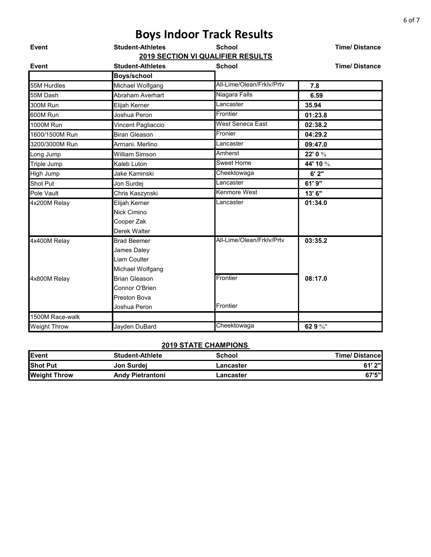|                     |                         | <b>Boys Indoor Track Results</b>  |                      |
|---------------------|-------------------------|-----------------------------------|----------------------|
| Event               | <b>Student-Athletes</b> | <b>School</b>                     | <b>Time/Distance</b> |
|                     |                         | 2019 SECTION VI QUALIFIER RESULTS |                      |
| <b>Event</b>        | <b>Student-Athletes</b> | <b>School</b>                     | <b>Time/Distance</b> |
|                     | <b>Boys/school</b>      |                                   |                      |
| 55M Hurdles         | Michael Wolfgang        | All-Lime/Olean/Frklv/Prtv         | 7.8                  |
| 55M Dash            | Abraham Averhart        | Niagara Falls                     | 6.59                 |
| 300M Run            | Elijah Kerner           | Lancaster                         | 35.94                |
| 600M Run            | Joshua Peron            | Frontier                          | 01:23.8              |
| <b>1000M Run</b>    | Vincent Pagliaccio      | West Seneca East                  | 02:38.2              |
| 1600/1500M Run      | <b>Biran Gleason</b>    | Fronier                           | 04:29.2              |
| 3200/3000M Run      | Arrnani, Merlino        | Lancaster                         | 09:47.0              |
| Long Jump           | <b>William Simson</b>   | Amherst                           | 22' 0 %              |
| Triple Jump         | Kaleb Luton             | <b>Sweet Home</b>                 | 44' 10 %             |
| High Jump           | Jake Kaminski           | Cheektowaga                       | 6'2"                 |
| Shot Put            | Jon Surdej              | Lancaster                         | 61' 9"               |
| Pole Vault          | Chris Kaszynski         | Kenmore West                      | 13' 6"               |
| 4x200M Relay        | Elijah Kerner           | Lancaster                         | 01:34.0              |
|                     | <b>Nick Cimino</b>      |                                   |                      |
|                     | Cooper Zak              |                                   |                      |
|                     | Derek Walter            |                                   |                      |
| 4x400M Relay        | <b>Brad Beemer</b>      | All-Lime/Olean/Frkly/Prty         | 03:35.2              |
|                     | James Daley             |                                   |                      |
|                     | Liam Coulter            |                                   |                      |
|                     | Michael Wolfgang        |                                   |                      |
| 4x800M Relay        | <b>Brian Gleason</b>    | Frontier                          | 08:17.0              |
|                     | Connor O'Brien          |                                   |                      |
|                     | Preston Bova            |                                   |                      |
|                     | Joshua Peron            | Frontier                          |                      |
| 1500M Race-walk     |                         |                                   |                      |
| <b>Weight Throw</b> | Jayden DuBard           | Cheektowaga                       | 62 9 %"              |

| Event               | <b>Student-Athlete</b>  | School    | <b>Time/Distancel</b> |
|---------------------|-------------------------|-----------|-----------------------|
| <b>Shot Put</b>     | Jon Surdej              | Lancaster | 61' 2"                |
| <b>Weight Throw</b> | <b>Andy Pietrantoni</b> | Lancaster | 67'5"l                |